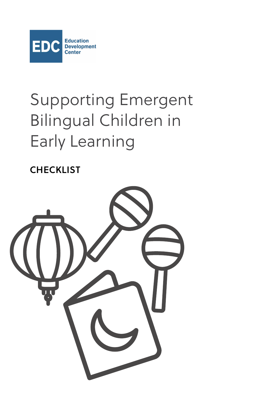

# Supporting Emergent Bilingual Children in Early Learning

**CHECKLIST** 

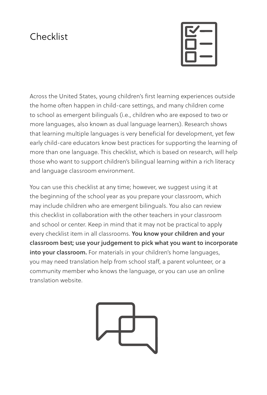### Checklist



Across the United States, young children's first learning experiences outside the home often happen in child-care settings, and many children come to school as emergent bilinguals (i.e., children who are exposed to two or more languages, also known as dual language learners). Research shows that learning multiple languages is very beneficial for development, yet few early child-care educators know best practices for supporting the learning of more than one language. This checklist, which is based on research, will help those who want to support children's bilingual learning within a rich literacy and language classroom environment.

You can use this checklist at any time; however, we suggest using it at the beginning of the school year as you prepare your classroom, which may include children who are emergent bilinguals. You also can review this checklist in collaboration with the other teachers in your classroom and school or center. Keep in mind that it may not be practical to apply every checklist item in all classrooms. You know your children and your classroom best; use your judgement to pick what you want to incorporate into your classroom. For materials in your children's home languages, you may need translation help from school staff, a parent volunteer, or a community member who knows the language, or you can use an online translation website.

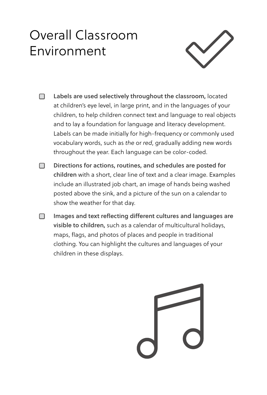# Overall Classroom Environment



- $\Box$  Labels are used selectively throughout the classroom, located at children's eye level, in large print, and in the languages of your children, to help children connect text and language to real objects and to lay a foundation for language and literacy development. Labels can be made initially for high-frequency or commonly used vocabulary words, such as *the* or *red*, gradually adding new words throughout the year. Each language can be color-coded.
- ƅ Directions for actions, routines, and schedules are posted for children with a short, clear line of text and a clear image. Examples include an illustrated job chart, an image of hands being washed posted above the sink, and a picture of the sun on a calendar to show the weather for that day.
- **□** Images and text reflecting different cultures and languages are visible to children, such as a calendar of multicultural holidays, maps, flags, and photos of places and people in traditional clothing. You can highlight the cultures and languages of your children in these displays.

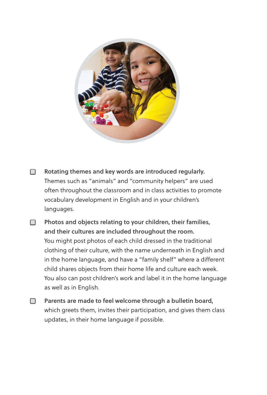

- □ Rotating themes and key words are introduced regularly. Themes such as "animals" and "community helpers" are used often throughout the classroom and in class activities to promote vocabulary development in English and in your children's languages.
- □ Photos and objects relating to your children, their families, and their cultures are included throughout the room. You might post photos of each child dressed in the traditional clothing of their culture, with the name underneath in English and in the home language, and have a "family shelf" where a different child shares objects from their home life and culture each week. You also can post children's work and label it in the home language as well as in English.
- □ Parents are made to feel welcome through a bulletin board, which greets them, invites their participation, and gives them class updates, in their home language if possible.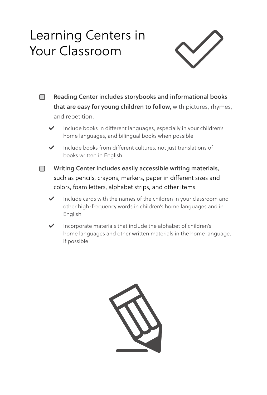# Learning Centers in Your Classroom



- □ Reading Center includes storybooks and informational books that are easy for young children to follow, with pictures, rhymes, and repetition.
	- Include books in different languages, especially in your children's home languages, and bilingual books when possible
	- $\blacktriangleright$  Include books from different cultures, not just translations of books written in English
- □ Writing Center includes easily accessible writing materials, such as pencils, crayons, markers, paper in different sizes and colors, foam letters, alphabet strips, and other items.
	- Include cards with the names of the children in your classroom and other high-frequency words in children's home languages and in English
	- $\blacktriangleright$  Incorporate materials that include the alphabet of children's home languages and other written materials in the home language, if possible

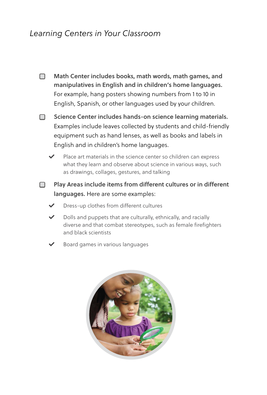#### *Learning Centers in Your Classroom*

- **□** Math Center includes books, math words, math games, and manipulatives in English and in children's home languages. For example, hang posters showing numbers from 1 to 10 in English, Spanish, or other languages used by your children.
- □ Science Center includes hands-on science learning materials. Examples include leaves collected by students and child-friendly equipment such as hand lenses, as well as books and labels in English and in children's home languages.
	- - Place art materials in the science center so children can express what they learn and observe about science in various ways, such as drawings, collages, gestures, and talking
- □ Play Areas include items from different cultures or in different languages. Here are some examples:
	- Dress-up clothes from different cultures
	- Dolls and puppets that are culturally, ethnically, and racially diverse and that combat stereotypes, such as female firefighters and black scientists
	- Board games in various languages

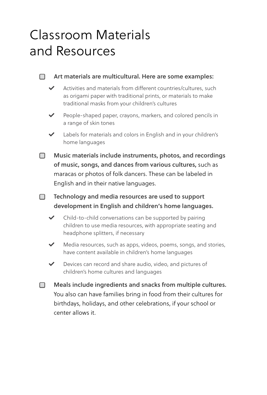### Classroom Materials and Resources

#### **□** Art materials are multicultural. Here are some examples:

- $\blacktriangleright$  Activities and materials from different countries/cultures, such as origami paper with traditional prints, or materials to make traditional masks from your children's cultures
- $\blacktriangleright$  People-shaped paper, crayons, markers, and colored pencils in a range of skin tones
- $\blacktriangleright$  Labels for materials and colors in English and in your children's home languages
- **□** Music materials include instruments, photos, and recordings of music, songs, and dances from various cultures, such as maracas or photos of folk dancers. These can be labeled in English and in their native languages.
- **□** Technology and media resources are used to support development in English and children's home languages.
	- $\triangleright$  Child-to-child conversations can be supported by pairing children to use media resources, with appropriate seating and headphone splitters, if necessary
	- $\blacktriangleright$  Media resources, such as apps, videos, poems, songs, and stories, have content available in children's home languages
	- $\blacktriangleright$  Devices can record and share audio, video, and pictures of children's home cultures and languages
- □ Meals include ingredients and snacks from multiple cultures. You also can have families bring in food from their cultures for birthdays, holidays, and other celebrations, if your school or center allows it.